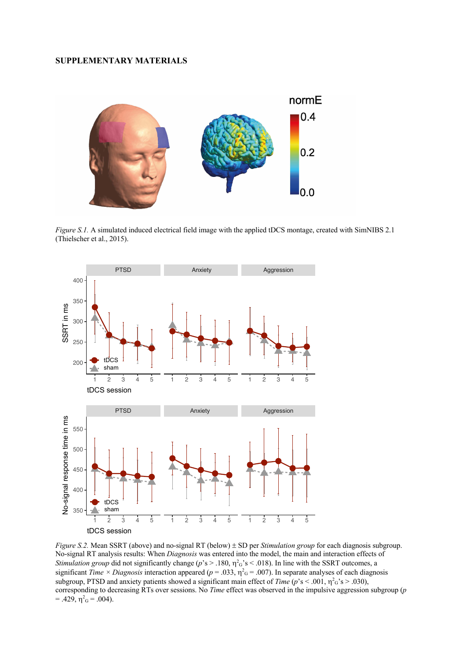# **SUPPLEMENTARY MATERIALS**



*Figure S.1.* A simulated induced electrical field image with the applied tDCS montage, created with SimNIBS 2.1 (Thielscher et al., 2015).



*Figure S.2.* Mean SSRT (above) and no-signal RT (below)  $\pm$  SD per *Stimulation group* for each diagnosis subgroup. No-signal RT analysis results: When *Diagnosis* was entered into the model, the main and interaction effects of *Stimulation group* did not significantly change ( $p$ 's > .180,  $\eta$ <sup>2</sup><sub>G</sub>'s < .018). In line with the SSRT outcomes, a significant *Time*  $\times$  *Diagnosis* interaction appeared ( $p = .033$ ,  $\eta^2 G = .007$ ). In separate analyses of each diagnosis subgroup, PTSD and anxiety patients showed a significant main effect of *Time* ( $p$ 's < .001,  $\eta$ <sup>2</sup><sub>G</sub>'s > .030), corresponding to decreasing RTs over sessions. No *Time* effect was observed in the impulsive aggression subgroup (*p*  $= .429, \eta_{\rm G}^2 = .004$ ).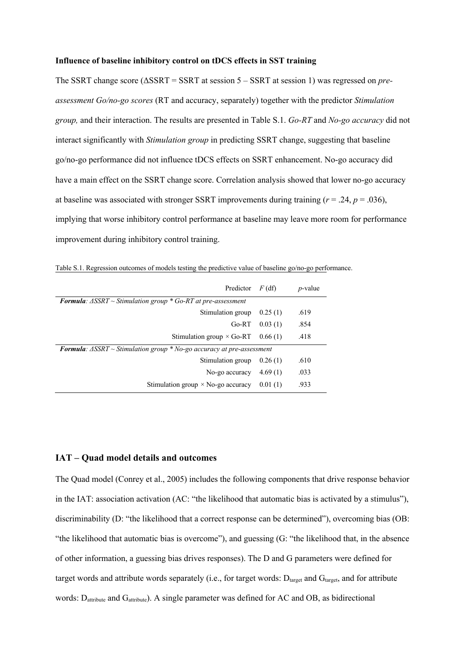### **Influence of baseline inhibitory control on tDCS effects in SST training**

The SSRT change score (ΔSSRT = SSRT at session 5 – SSRT at session 1) was regressed on *preassessment Go/no-go scores* (RT and accuracy, separately) together with the predictor *Stimulation group,* and their interaction. The results are presented in Table S.1. *Go-RT* and *No-go accuracy* did not interact significantly with *Stimulation group* in predicting SSRT change, suggesting that baseline go/no-go performance did not influence tDCS effects on SSRT enhancement. No-go accuracy did have a main effect on the SSRT change score. Correlation analysis showed that lower no-go accuracy at baseline was associated with stronger SSRT improvements during training  $(r = .24, p = .036)$ , implying that worse inhibitory control performance at baseline may leave more room for performance improvement during inhibitory control training.

| Predictor                                                                                     | $F$ (df) | <i>p</i> -value |  |  |
|-----------------------------------------------------------------------------------------------|----------|-----------------|--|--|
| <b>Formula:</b> $\triangle SSRT \sim$ Stimulation group $*$ Go-RT at pre-assessment           |          |                 |  |  |
| Stimulation group                                                                             | 0.25(1)  | .619            |  |  |
| $Go-RT$                                                                                       | 0.03(1)  | .854            |  |  |
| Stimulation group $\times$ Go-RT                                                              | 0.66(1)  | .418            |  |  |
| <b>Formula:</b> $\triangle SSTRT \sim$ Stimulation group $*$ No-go accuracy at pre-assessment |          |                 |  |  |
| Stimulation group                                                                             | 0.26(1)  | .610            |  |  |
| No-go accuracy                                                                                | 4.69(1)  | .033            |  |  |
| Stimulation group $\times$ No-go accuracy                                                     | 0.01(1)  | .933            |  |  |

Table S.1. Regression outcomes of models testing the predictive value of baseline go/no-go performance.

# **IAT – Quad model details and outcomes**

The Quad model (Conrey et al., 2005) includes the following components that drive response behavior in the IAT: association activation (AC: "the likelihood that automatic bias is activated by a stimulus"), discriminability (D: "the likelihood that a correct response can be determined"), overcoming bias (OB: "the likelihood that automatic bias is overcome"), and guessing (G: "the likelihood that, in the absence of other information, a guessing bias drives responses). The D and G parameters were defined for target words and attribute words separately (i.e., for target words:  $D<sub>target</sub>$  and  $G<sub>target</sub>$ , and for attribute words: D<sub>attribute</sub> and G<sub>attribute</sub>). A single parameter was defined for AC and OB, as bidirectional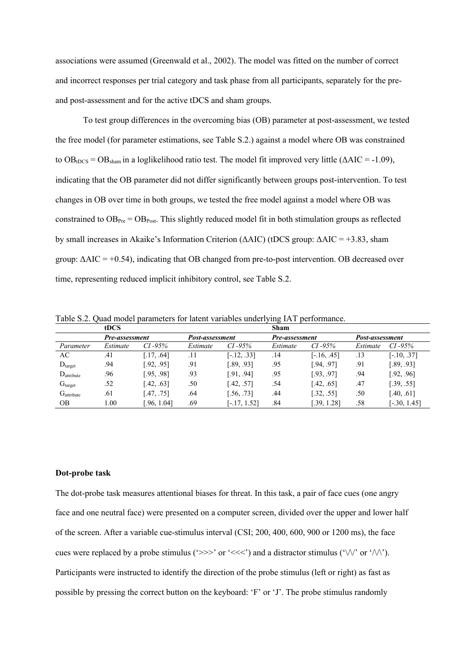associations were assumed (Greenwald et al., 2002). The model was fitted on the number of correct and incorrect responses per trial category and task phase from all participants, separately for the preand post-assessment and for the active tDCS and sham groups.

To test group differences in the overcoming bias (OB) parameter at post-assessment, we tested the free model (for parameter estimations, see Table S.2.) against a model where OB was constrained to  $OB_{tDCS} = OB_{sham}$  in a loglikelihood ratio test. The model fit improved very little ( $\triangle AIC = -1.09$ ), indicating that the OB parameter did not differ significantly between groups post-intervention. To test changes in OB over time in both groups, we tested the free model against a model where OB was constrained to  $OB_{P_{\text{rec}}} = OB_{\text{Post}}$ . This slightly reduced model fit in both stimulation groups as reflected by small increases in Akaike's Information Criterion (ΔAIC) (tDCS group: ΔAIC = +3.83, sham group:  $\Delta AIC = +0.54$ ), indicating that OB changed from pre-to-post intervention. OB decreased over time, representing reduced implicit inhibitory control, see Table S.2.

Table S.2. Quad model parameters for latent variables underlying IAT performance.

|                                | tDCS           |             |                 |                | Sham           |               |                 |                |
|--------------------------------|----------------|-------------|-----------------|----------------|----------------|---------------|-----------------|----------------|
|                                | Pre-assessment |             | Post-assessment |                | Pre-assessment |               | Post-assessment |                |
| Parameter                      | Estimate       | $CI - 95\%$ | Estimate        | $CI - 95\%$    | Estimate       | $CI - 95\%$   | Estimate        | $CI - 95\%$    |
| AC                             | .41            | [.17, .64]  | .11             | $[-.12, .33]$  | .14            | $[-.16, .45]$ | .13             | $[-.10, .37]$  |
| D <sub>target</sub>            | .94            | [.92, .95]  | .91             | [.89, .93]     | .95            | [.94, .97]    | .91             | [.89, .93]     |
| $D_{\text{attribute}}$         | .96            | [.95, .98]  | .93             | [.91, .94]     | .95            | [.93, .97]    | .94             | [.92, .96]     |
| $\mathrm{G}_{\mathrm{target}}$ | .52            | [.42, .63]  | .50             | [.42, .57]     | .54            | [.42, .65]    | .47             | [.39, .55]     |
| $G_{\text{attribute}}$         | .61            | [.47, .75]  | .64             | [.56, .73]     | .44            | [.32, .55]    | .50             | [.40, .61]     |
| OΒ                             | 1.00           | [.96, 1.04] | .69             | $[-.17, 1.52]$ | .84            | [.39, 1.28]   | .58             | $[-.30, 1.45]$ |

#### **Dot-probe task**

The dot-probe task measures attentional biases for threat. In this task, a pair of face cues (one angry face and one neutral face) were presented on a computer screen, divided over the upper and lower half of the screen. After a variable cue-stimulus interval (CSI; 200, 400, 600, 900 or 1200 ms), the face cues were replaced by a probe stimulus ('>>>' or '<<<') and a distractor stimulus (' $\lor\lor$ ' or ' $\land\land\lor$ '). Participants were instructed to identify the direction of the probe stimulus (left or right) as fast as possible by pressing the correct button on the keyboard: 'F' or 'J'. The probe stimulus randomly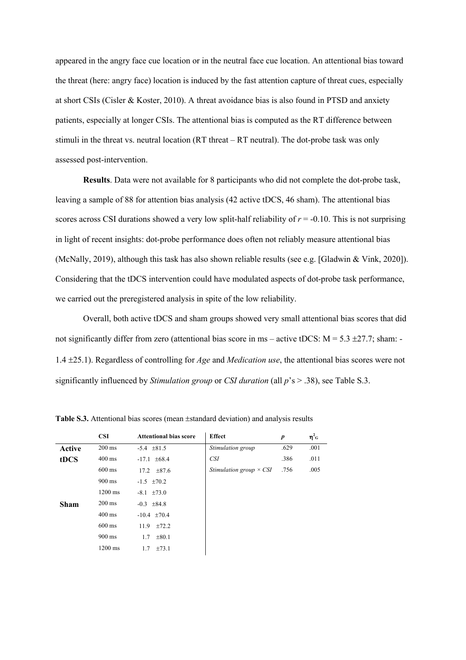appeared in the angry face cue location or in the neutral face cue location. An attentional bias toward the threat (here: angry face) location is induced by the fast attention capture of threat cues, especially at short CSIs (Cisler & Koster, 2010). A threat avoidance bias is also found in PTSD and anxiety patients, especially at longer CSIs. The attentional bias is computed as the RT difference between stimuli in the threat vs. neutral location (RT threat – RT neutral). The dot-probe task was only assessed post-intervention.

**Results**. Data were not available for 8 participants who did not complete the dot-probe task, leaving a sample of 88 for attention bias analysis (42 active tDCS, 46 sham). The attentional bias scores across CSI durations showed a very low split-half reliability of *r* = -0.10. This is not surprising in light of recent insights: dot-probe performance does often not reliably measure attentional bias (McNally, 2019), although this task has also shown reliable results (see e.g. [Gladwin & Vink, 2020]). Considering that the tDCS intervention could have modulated aspects of dot-probe task performance, we carried out the preregistered analysis in spite of the low reliability.

Overall, both active tDCS and sham groups showed very small attentional bias scores that did not significantly differ from zero (attentional bias score in ms – active tDCS:  $M = 5.3 \pm 27.7$ ; sham: 1.4 ±25.1). Regardless of controlling for *Age* and *Medication use*, the attentional bias scores were not significantly influenced by *Stimulation group* or *CSI duration* (all *p*'s > .38), see Table S.3.

|        | <b>CSI</b>        | <b>Attentional bias score</b> | <b>Effect</b>                  | p    | $\eta^2$ <sub>G</sub> |
|--------|-------------------|-------------------------------|--------------------------------|------|-----------------------|
| Active | $200 \text{ ms}$  | $-5.4$ $\pm 81.5$             | Stimulation group              | .629 | .001                  |
| tDCS   | $400 \text{ ms}$  | $-17.1 \pm 68.4$              | <i>CSI</i>                     | .386 | .011                  |
|        | $600 \text{ ms}$  | $17.2 \pm 87.6$               | Stimulation group $\times$ CSI | .756 | .005                  |
|        | $900 \text{ ms}$  | $-1.5$ $\pm 70.2$             |                                |      |                       |
|        | $1200 \text{ ms}$ | $-8.1 \pm 73.0$               |                                |      |                       |
| Sham   | $200 \text{ ms}$  | $-0.3$ $\pm 84.8$             |                                |      |                       |
|        | $400 \text{ ms}$  | $-10.4$ $\pm 70.4$            |                                |      |                       |
|        | $600 \text{ ms}$  | $+72.2$<br>11.9               |                                |      |                       |
|        | $900 \text{ ms}$  | $\pm 80.1$<br>1.7             |                                |      |                       |
|        | $1200 \text{ ms}$ | $\pm 73.1$<br>1.7             |                                |      |                       |

**Table S.3.** Attentional bias scores (mean ±standard deviation) and analysis results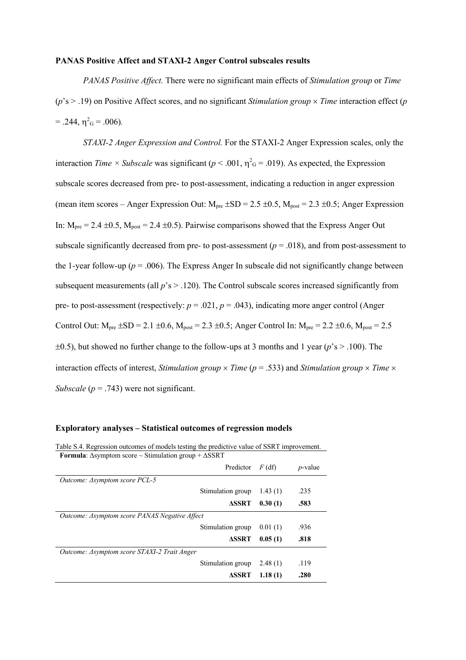## **PANAS Positive Affect and STAXI-2 Anger Control subscales results**

*PANAS Positive Affect.* There were no significant main effects of *Stimulation group* or *Time*  $(p's > .19)$  on Positive Affect scores, and no significant *Stimulation group*  $\times$  *Time* interaction effect (*p*  $= .244, \eta^2$ <sub>G</sub> $= .006$ ).

*STAXI-2 Anger Expression and Control.* For the STAXI-2 Anger Expression scales, only the interaction *Time*  $\times$  *Subscale* was significant ( $p < .001$ ,  $\eta^2$ <sub>G</sub> = .019). As expected, the Expression subscale scores decreased from pre- to post-assessment, indicating a reduction in anger expression (mean item scores – Anger Expression Out:  $M_{\text{pre}}$  ±SD = 2.5 ±0.5,  $M_{\text{post}}$  = 2.3 ±0.5; Anger Expression In:  $M_{pre} = 2.4 \pm 0.5$ ,  $M_{post} = 2.4 \pm 0.5$ ). Pairwise comparisons showed that the Express Anger Out subscale significantly decreased from pre- to post-assessment  $(p = .018)$ , and from post-assessment to the 1-year follow-up ( $p = .006$ ). The Express Anger In subscale did not significantly change between subsequent measurements (all  $p$ 's  $>$  .120). The Control subscale scores increased significantly from pre- to post-assessment (respectively:  $p = .021$ ,  $p = .043$ ), indicating more anger control (Anger Control Out:  $M_{\text{pre}}$   $\pm$ SD = 2.1  $\pm$ 0.6,  $M_{\text{post}}$  = 2.3  $\pm$ 0.5; Anger Control In:  $M_{\text{pre}}$  = 2.2  $\pm$ 0.6,  $M_{\text{post}}$  = 2.5 ±0.5), but showed no further change to the follow-ups at 3 months and 1 year (*p*'s > .100). The interaction effects of interest, *Stimulation group*  $\times$  *Time* ( $p = .533$ ) and *Stimulation group*  $\times$  *Time*  $\times$ *Subscale* ( $p = .743$ ) were not significant.

| <b>Formula:</b> Asymptom score $\sim$ Stimulation group + $\triangle$ SSRT |          |            |  |  |
|----------------------------------------------------------------------------|----------|------------|--|--|
| Predictor                                                                  | $F$ (df) | $p$ -value |  |  |
| <i>Outcome: ∆symptom score PCL-5</i>                                       |          |            |  |  |
| Stimulation group                                                          | 1.43(1)  | .235       |  |  |
| <b>ASSRT</b>                                                               | 0.30(1)  | .583       |  |  |
| Outcome: Asymptom score PANAS Negative Affect                              |          |            |  |  |
| Stimulation group                                                          | 0.01(1)  | .936       |  |  |
| <b>ASSRT</b>                                                               | 0.05(1)  | .818       |  |  |
| Outcome: Asymptom score STAXI-2 Trait Anger                                |          |            |  |  |
| Stimulation group                                                          | 2.48(1)  | .119       |  |  |
| <b>ASSRT</b>                                                               | 1.18(1)  | .280       |  |  |

Table S.4. Regression outcomes of models testing the predictive value of SSRT improvement.

#### **Exploratory analyses – Statistical outcomes of regression models**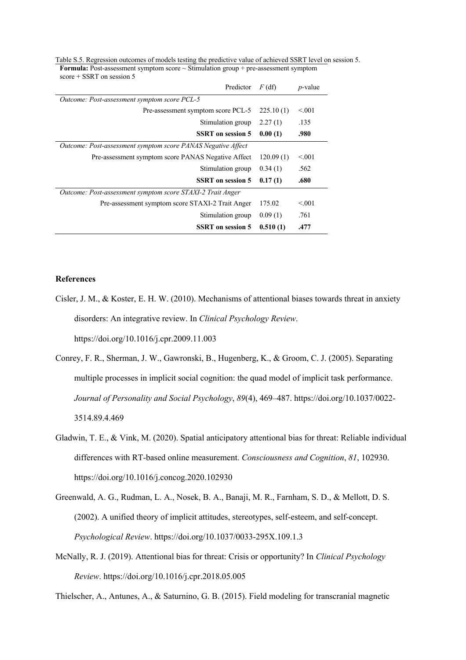| Predictor                                                    | $F$ (df)  | $p$ -value |
|--------------------------------------------------------------|-----------|------------|
| Outcome: Post-assessment symptom score PCL-5                 |           |            |
| Pre-assessment symptom score PCL-5                           | 225.10(1) | < 0.01     |
| Stimulation group                                            | 2.27(1)   | .135       |
| <b>SSRT</b> on session 5                                     | 0.00(1)   | .980       |
| Outcome: Post-assessment symptom score PANAS Negative Affect |           |            |
| Pre-assessment symptom score PANAS Negative Affect           | 120.09(1) | < 0.01     |
| Stimulation group                                            | 0.34(1)   | .562       |
| <b>SSRT</b> on session 5                                     | 0.17(1)   | .680       |
| Outcome: Post-assessment symptom score STAXI-2 Trait Anger   |           |            |
| Pre-assessment symptom score STAXI-2 Trait Anger             | 175.02    | < 0.001    |
| Stimulation group                                            | 0.09(1)   | .761       |
| <b>SSRT</b> on session 5                                     | 0.510(1)  | .477       |

Table S.5. Regression outcomes of models testing the predictive value of achieved SSRT level on session 5. **Formula:** Post-assessment symptom score  $\sim$  Stimulation group + pre-assessment symptom score + SSRT on session 5

## **References**

- Cisler, J. M., & Koster, E. H. W. (2010). Mechanisms of attentional biases towards threat in anxiety disorders: An integrative review. In *Clinical Psychology Review*. https://doi.org/10.1016/j.cpr.2009.11.003
- Conrey, F. R., Sherman, J. W., Gawronski, B., Hugenberg, K., & Groom, C. J. (2005). Separating multiple processes in implicit social cognition: the quad model of implicit task performance. *Journal of Personality and Social Psychology*, *89*(4), 469–487. https://doi.org/10.1037/0022- 3514.89.4.469
- Gladwin, T. E., & Vink, M. (2020). Spatial anticipatory attentional bias for threat: Reliable individual differences with RT-based online measurement. *Consciousness and Cognition*, *81*, 102930. https://doi.org/10.1016/j.concog.2020.102930
- Greenwald, A. G., Rudman, L. A., Nosek, B. A., Banaji, M. R., Farnham, S. D., & Mellott, D. S. (2002). A unified theory of implicit attitudes, stereotypes, self-esteem, and self-concept. *Psychological Review*. https://doi.org/10.1037/0033-295X.109.1.3
- McNally, R. J. (2019). Attentional bias for threat: Crisis or opportunity? In *Clinical Psychology Review*. https://doi.org/10.1016/j.cpr.2018.05.005

Thielscher, A., Antunes, A., & Saturnino, G. B. (2015). Field modeling for transcranial magnetic